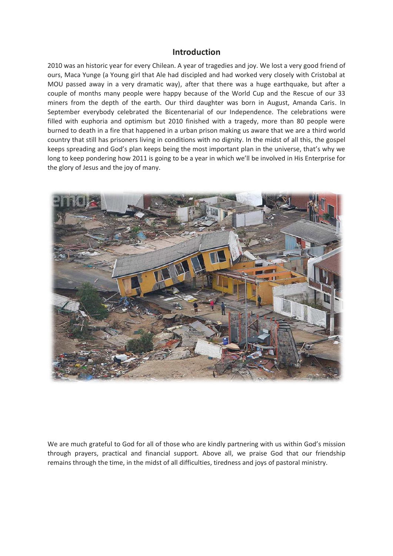### **Introduction**

2010 was an historic year for every Chilean. A year of tragedies and joy. We lost a very good friend of ours, Maca Yunge (a Young girl that Ale had discipled and had worked very closely with Cristobal at MOU passed away in a very dramatic way), after that there was a huge earthquake, but after a couple of months many people were happy because of the World Cup and the Rescue of our 33 miners from the depth of the earth. Our third daughter was born in August, Amanda Caris. In September everybody celebrated the Bicentenarial of our Independence. The celebrations were filled with euphoria and optimism but 2010 finished with a tragedy, more than 80 people were burned to death in a fire that happened in a urban prison making us aware that we are a third world country that still has prisoners living in conditions with no dignity. In the midst of all this, the gospel keeps spreading and God's plan keeps being the most important plan in the universe, that's why we long to keep pondering how 2011 is going to be a year in which we'll be involved in His Enterprise for the glory of Jesus and the joy of many.



We are much grateful to God for all of those who are kindly partnering with us within God's mission through prayers, practical and financial support. Above all, we praise God that our friendship remains through the time, in the midst of all difficulties, tiredness and joys of pastoral ministry.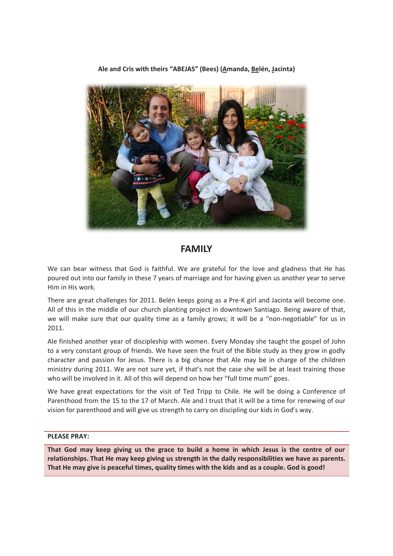**Ale and Cris with theirs "ABEJAS" (Bees) (Amanda, Belén, Jacinta)**



# **FAMILY**

We can bear witness that God is faithful. We are grateful for the love and gladness that He has poured out into our family in these 7 years of marriage and for having given us another year to serve Him in His work.

There are great challenges for 2011. Belén keeps going as a Pre-K girl and Jacinta will become one. All of this in the middle of our church planting project in downtown Santiago. Being aware of that, we will make sure that our quality time as a family grows; it will be a "non-negotiable" for us in 2011.

Ale finished another year of discipleship with women. Every Monday she taught the gospel of John to a very constant group of friends. We have seen the fruit of the Bible study as they grow in godly character and passion for Jesus. There is a big chance that Ale may be in charge of the children ministry during 2011. We are not sure yet, if that's not the case she will be at least training those who will be involved in it. All of this will depend on how her "full time mum" goes.

We have great expectations for the visit of Ted Tripp to Chile. He will be doing a Conference of Parenthood from the 15 to the 17 of March. Ale and I trust that it will be a time for renewing of our vision for parenthood and will give us strength to carry on discipling our kids in God's way.

#### **PLEASE PRAY:**

**That God may keep giving us the grace to build a home in which Jesus is the centre of our relationships. That He may keep giving us strength in the daily responsibilities we have as parents. That He may give is peaceful times, quality times with the kids and as a couple. God is good!**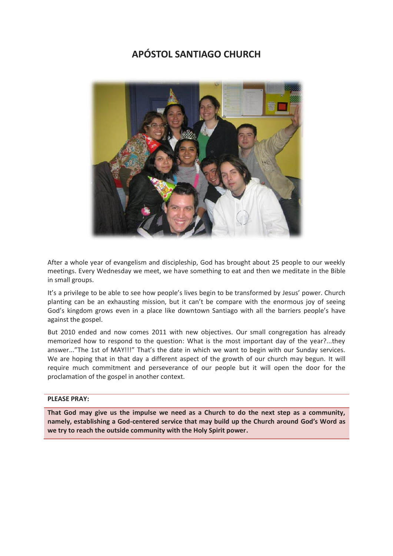# **APÓSTOL SANTIAGO CHURCH**



After a whole year of evangelism and discipleship, God has brought about 25 people to our weekly meetings. Every Wednesday we meet, we have something to eat and then we meditate in the Bible in small groups.

It's a privilege to be able to see how people's lives begin to be transformed by Jesus' power. Church planting can be an exhausting mission, but it can't be compare with the enormous joy of seeing God's kingdom grows even in a place like downtown Santiago with all the barriers people's have against the gospel.

But 2010 ended and now comes 2011 with new objectives. Our small congregation has already memorized how to respond to the question: What is the most important day of the year?...they answer..."The 1st of MAY!!!" That's the date in which we want to begin with our Sunday services. We are hoping that in that day a different aspect of the growth of our church may begun. It will require much commitment and perseverance of our people but it will open the door for the proclamation of the gospel in another context.

#### **PLEASE PRAY:**

**That God may give us the impulse we need as a Church to do the next step as a community, namely, establishing a God-centered service that may build up the Church around God's Word as we try to reach the outside community with the Holy Spirit power.**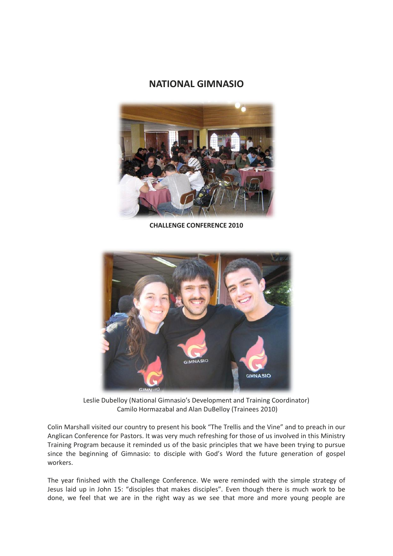## **NATIONAL GIMNASIO**



**CHALLENGE CONFERENCE 2010**



Leslie Dubelloy (National Gimnasio's Development and Training Coordinator) Camilo Hormazabal and Alan DuBelloy (Trainees 2010)

Colin Marshall visited our country to present his book "The Trellis and the Vine" and to preach in our Anglican Conference for Pastors. It was very much refreshing for those of us involved in this Ministry Training Program because it reminded us of the basic principles that we have been trying to pursue since the beginning of Gimnasio: to disciple with God's Word the future generation of gospel workers.

The year finished with the Challenge Conference. We were reminded with the simple strategy of Jesus laid up in John 15: "disciples that makes disciples". Even though there is much work to be done, we feel that we are in the right way as we see that more and more young people are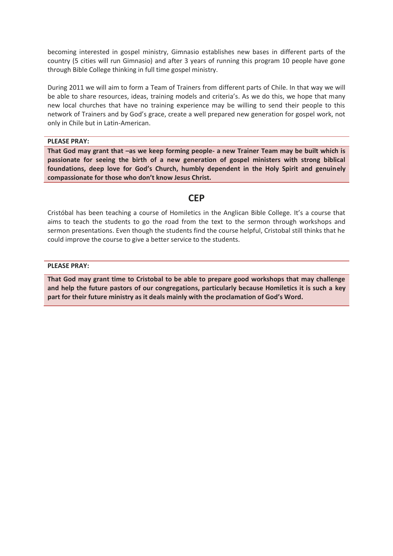becoming interested in gospel ministry, Gimnasio establishes new bases in different parts of the country (5 cities will run Gimnasio) and after 3 years of running this program 10 people have gone through Bible College thinking in full time gospel ministry.

During 2011 we will aim to form a Team of Trainers from different parts of Chile. In that way we will be able to share resources, ideas, training models and criteria's. As we do this, we hope that many new local churches that have no training experience may be willing to send their people to this network of Trainers and by God's grace, create a well prepared new generation for gospel work, not only in Chile but in Latin-American.

#### **PLEASE PRAY:**

**That God may grant that –as we keep forming people- a new Trainer Team may be built which is passionate for seeing the birth of a new generation of gospel ministers with strong biblical foundations, deep love for God's Church, humbly dependent in the Holy Spirit and genuinely compassionate for those who don't know Jesus Christ.**

### **CEP**

Cristóbal has been teaching a course of Homiletics in the Anglican Bible College. It's a course that aims to teach the students to go the road from the text to the sermon through workshops and sermon presentations. Even though the students find the course helpful, Cristobal still thinks that he could improve the course to give a better service to the students.

#### **PLEASE PRAY:**

**That God may grant time to Cristobal to be able to prepare good workshops that may challenge and help the future pastors of our congregations, particularly because Homiletics it is such a key part for their future ministry as it deals mainly with the proclamation of God's Word.**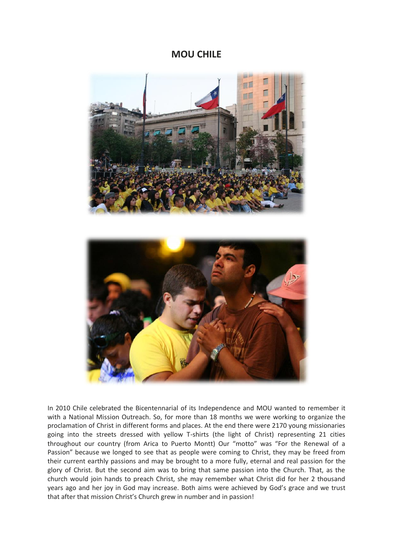### **MOU CHILE**





In 2010 Chile celebrated the Bicentennarial of its Independence and MOU wanted to remember it with a National Mission Outreach. So, for more than 18 months we were working to organize the proclamation of Christ in different forms and places. At the end there were 2170 young missionaries going into the streets dressed with yellow T-shirts (the light of Christ) representing 21 cities throughout our country (from Arica to Puerto Montt) Our "motto" was "For the Renewal of a Passion" because we longed to see that as people were coming to Christ, they may be freed from their current earthly passions and may be brought to a more fully, eternal and real passion for the glory of Christ. But the second aim was to bring that same passion into the Church. That, as the church would join hands to preach Christ, she may remember what Christ did for her 2 thousand years ago and her joy in God may increase. Both aims were achieved by God's grace and we trust that after that mission Christ's Church grew in number and in passion!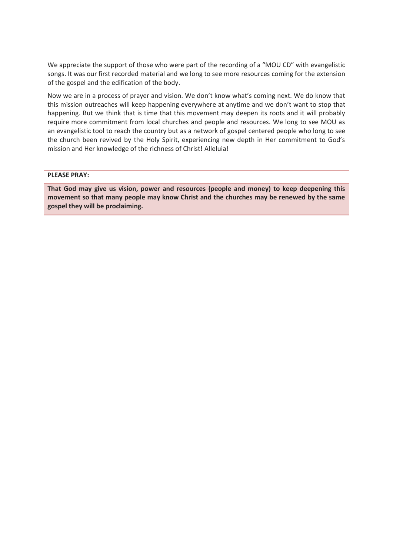We appreciate the support of those who were part of the recording of a "MOU CD" with evangelistic songs. It was our first recorded material and we long to see more resources coming for the extension of the gospel and the edification of the body.

Now we are in a process of prayer and vision. We don't know what's coming next. We do know that this mission outreaches will keep happening everywhere at anytime and we don't want to stop that happening. But we think that is time that this movement may deepen its roots and it will probably require more commitment from local churches and people and resources. We long to see MOU as an evangelistic tool to reach the country but as a network of gospel centered people who long to see the church been revived by the Holy Spirit, experiencing new depth in Her commitment to God's mission and Her knowledge of the richness of Christ! Alleluia!

#### **PLEASE PRAY:**

**That God may give us vision, power and resources (people and money) to keep deepening this movement so that many people may know Christ and the churches may be renewed by the same gospel they will be proclaiming.**